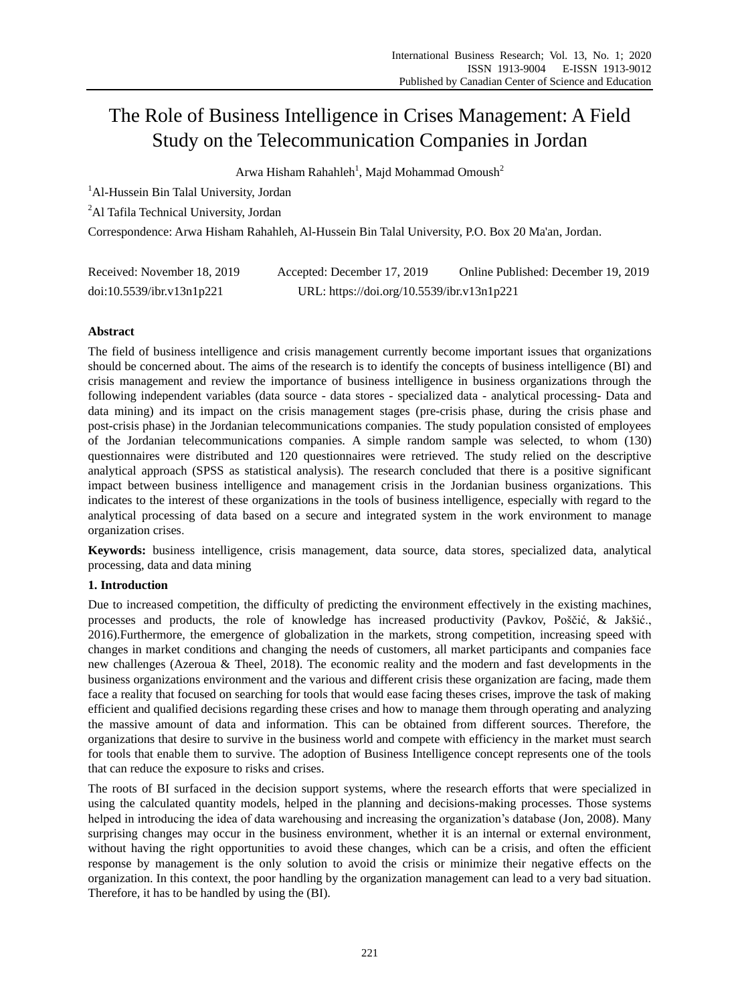# The Role of Business Intelligence in Crises Management: A Field Study on the Telecommunication Companies in Jordan

Arwa Hisham Rahahleh<sup>1</sup>, Majd Mohammad Omoush<sup>2</sup>

<sup>1</sup>Al-Hussein Bin Talal University, Jordan

<sup>2</sup>Al Tafila Technical University, Jordan

Correspondence: Arwa Hisham Rahahleh, Al-Hussein Bin Talal University, P.O. Box 20 Ma'an, Jordan.

| Received: November 18, 2019 | Accepted: December 17, 2019                | Online Published: December 19, 2019 |
|-----------------------------|--------------------------------------------|-------------------------------------|
| doi:10.5539/ibr.v13n1p221   | URL: https://doi.org/10.5539/ibr.v13n1p221 |                                     |

# **Abstract**

The field of business intelligence and crisis management currently become important issues that organizations should be concerned about. The aims of the research is to identify the concepts of business intelligence (BI) and crisis management and review the importance of business intelligence in business organizations through the following independent variables (data source - data stores - specialized data - analytical processing- Data and data mining) and its impact on the crisis management stages (pre-crisis phase, during the crisis phase and post-crisis phase) in the Jordanian telecommunications companies. The study population consisted of employees of the Jordanian telecommunications companies. A simple random sample was selected, to whom (130) questionnaires were distributed and 120 questionnaires were retrieved. The study relied on the descriptive analytical approach (SPSS as statistical analysis). The research concluded that there is a positive significant impact between business intelligence and management crisis in the Jordanian business organizations. This indicates to the interest of these organizations in the tools of business intelligence, especially with regard to the analytical processing of data based on a secure and integrated system in the work environment to manage organization crises.

**Keywords:** business intelligence, crisis management, data source, data stores, specialized data, analytical processing, data and data mining

# **1. Introduction**

Due to increased competition, the difficulty of predicting the environment effectively in the existing machines, processes and products, the role of knowledge has increased productivity (Pavkov, Poščić, & Jakšić., 2016).Furthermore, the emergence of globalization in the markets, strong competition, increasing speed with changes in market conditions and changing the needs of customers, all market participants and companies face new challenges (Azeroua & Theel, 2018). The economic reality and the modern and fast developments in the business organizations environment and the various and different crisis these organization are facing, made them face a reality that focused on searching for tools that would ease facing theses crises, improve the task of making efficient and qualified decisions regarding these crises and how to manage them through operating and analyzing the massive amount of data and information. This can be obtained from different sources. Therefore, the organizations that desire to survive in the business world and compete with efficiency in the market must search for tools that enable them to survive. The adoption of Business Intelligence concept represents one of the tools that can reduce the exposure to risks and crises.

The roots of BI surfaced in the decision support systems, where the research efforts that were specialized in using the calculated quantity models, helped in the planning and decisions-making processes. Those systems helped in introducing the idea of data warehousing and increasing the organization's database (Jon, 2008). Many surprising changes may occur in the business environment, whether it is an internal or external environment, without having the right opportunities to avoid these changes, which can be a crisis, and often the efficient response by management is the only solution to avoid the crisis or minimize their negative effects on the organization. In this context, the poor handling by the organization management can lead to a very bad situation. Therefore, it has to be handled by using the (BI).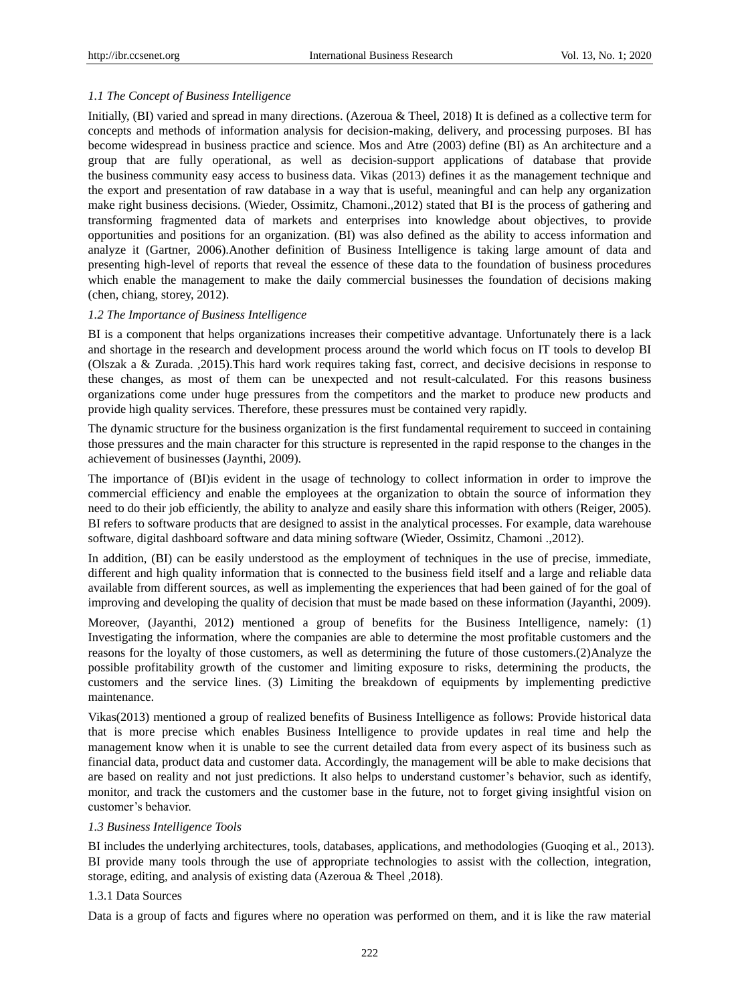#### *1.1 The Concept of Business Intelligence*

Initially, (BI) varied and spread in many directions. (Azeroua & Theel, 2018) It is defined as a collective term for concepts and methods of information analysis for decision-making, delivery, and processing purposes. BI has become widespread in business practice and science. Mos and Atre (2003) define (BI) as An architecture and a group that are fully operational, as well as decision-support applications of database that provide the business community easy access to business data. Vikas (2013) defines it as the management technique and the export and presentation of raw database in a way that is useful, meaningful and can help any organization make right business decisions. (Wieder, Ossimitz, Chamoni.,2012) stated that BI is the process of gathering and transforming fragmented data of markets and enterprises into knowledge about objectives, to provide opportunities and positions for an organization. (BI) was also defined as the ability to access information and analyze it (Gartner, 2006).Another definition of Business Intelligence is taking large amount of data and presenting high-level of reports that reveal the essence of these data to the foundation of business procedures which enable the management to make the daily commercial businesses the foundation of decisions making (chen, chiang, storey, 2012).

#### *1.2 The Importance of Business Intelligence*

BI is a component that helps organizations increases their competitive advantage. Unfortunately there is a lack and shortage in the research and development process around the world which focus on IT tools to develop BI (Olszak a & Zurada. ,2015).This hard work requires taking fast, correct, and decisive decisions in response to these changes, as most of them can be unexpected and not result-calculated. For this reasons business organizations come under huge pressures from the competitors and the market to produce new products and provide high quality services. Therefore, these pressures must be contained very rapidly.

The dynamic structure for the business organization is the first fundamental requirement to succeed in containing those pressures and the main character for this structure is represented in the rapid response to the changes in the achievement of businesses (Jaynthi, 2009).

The importance of (BI)is evident in the usage of technology to collect information in order to improve the commercial efficiency and enable the employees at the organization to obtain the source of information they need to do their job efficiently, the ability to analyze and easily share this information with others (Reiger, 2005). BI refers to software products that are designed to assist in the analytical processes. For example, data warehouse software, digital dashboard software and data mining software (Wieder, Ossimitz, Chamoni .,2012).

In addition, (BI) can be easily understood as the employment of techniques in the use of precise, immediate, different and high quality information that is connected to the business field itself and a large and reliable data available from different sources, as well as implementing the experiences that had been gained of for the goal of improving and developing the quality of decision that must be made based on these information (Jayanthi, 2009).

Moreover, (Jayanthi, 2012) mentioned a group of benefits for the Business Intelligence, namely: (1) Investigating the information, where the companies are able to determine the most profitable customers and the reasons for the loyalty of those customers, as well as determining the future of those customers.(2)Analyze the possible profitability growth of the customer and limiting exposure to risks, determining the products, the customers and the service lines. (3) Limiting the breakdown of equipments by implementing predictive maintenance.

Vikas(2013) mentioned a group of realized benefits of Business Intelligence as follows: Provide historical data that is more precise which enables Business Intelligence to provide updates in real time and help the management know when it is unable to see the current detailed data from every aspect of its business such as financial data, product data and customer data. Accordingly, the management will be able to make decisions that are based on reality and not just predictions. It also helps to understand customer's behavior, such as identify, monitor, and track the customers and the customer base in the future, not to forget giving insightful vision on customer's behavior.

#### *1.3 Business Intelligence Tools*

BI includes the underlying architectures, tools, databases, applications, and methodologies (Guoqing et al., 2013). BI provide many tools through the use of appropriate technologies to assist with the collection, integration, storage, editing, and analysis of existing data (Azeroua & Theel ,2018).

#### 1.3.1 Data Sources

Data is a group of facts and figures where no operation was performed on them, and it is like the raw material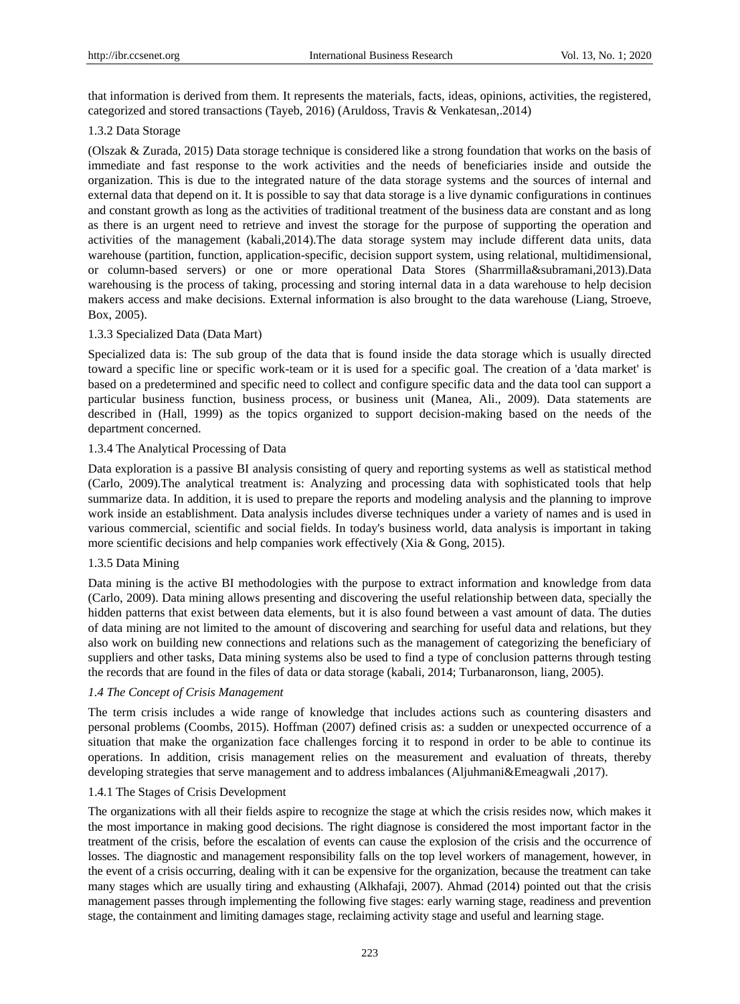that information is derived from them. It represents the materials, facts, ideas, opinions, activities, the registered, categorized and stored transactions (Tayeb, 2016) (Aruldoss, Travis & Venkatesan,.2014)

## 1.3.2 Data Storage

(Olszak & Zurada, 2015) Data storage technique is considered like a strong foundation that works on the basis of immediate and fast response to the work activities and the needs of beneficiaries inside and outside the organization. This is due to the integrated nature of the data storage systems and the sources of internal and external data that depend on it. It is possible to say that data storage is a live dynamic configurations in continues and constant growth as long as the activities of traditional treatment of the business data are constant and as long as there is an urgent need to retrieve and invest the storage for the purpose of supporting the operation and activities of the management (kabali,2014).The data storage system may include different data units, data warehouse (partition, function, application-specific, decision support system, using relational, multidimensional, or column-based servers) or one or more operational Data Stores (Sharrmilla&subramani,2013).Data warehousing is the process of taking, processing and storing internal data in a data warehouse to help decision makers access and make decisions. External information is also brought to the data warehouse (Liang, Stroeve, Box, 2005).

# 1.3.3 Specialized Data (Data Mart)

Specialized data is: The sub group of the data that is found inside the data storage which is usually directed toward a specific line or specific work-team or it is used for a specific goal. The creation of a 'data market' is based on a predetermined and specific need to collect and configure specific data and the data tool can support a particular business function, business process, or business unit (Manea, Ali., 2009). Data statements are described in (Hall, 1999) as the topics organized to support decision-making based on the needs of the department concerned.

# 1.3.4 The Analytical Processing of Data

Data exploration is a passive BI analysis consisting of query and reporting systems as well as statistical method (Carlo, 2009).The analytical treatment is: Analyzing and processing data with sophisticated tools that help summarize data. In addition, it is used to prepare the reports and modeling analysis and the planning to improve work inside an establishment. Data analysis includes diverse techniques under a variety of names and is used in various commercial, scientific and social fields. In today's business world, data analysis is important in taking more scientific decisions and help companies work effectively (Xia & Gong, 2015).

## 1.3.5 Data Mining

Data mining is the active BI methodologies with the purpose to extract information and knowledge from data (Carlo, 2009). Data mining allows presenting and discovering the useful relationship between data, specially the hidden patterns that exist between data elements, but it is also found between a vast amount of data. The duties of data mining are not limited to the amount of discovering and searching for useful data and relations, but they also work on building new connections and relations such as the management of categorizing the beneficiary of suppliers and other tasks, Data mining systems also be used to find a type of conclusion patterns through testing the records that are found in the files of data or data storage (kabali, 2014; Turbanaronson, liang, 2005).

## *1.4 The Concept of Crisis Management*

The term crisis includes a wide range of knowledge that includes actions such as countering disasters and personal problems (Coombs, 2015). Hoffman (2007) defined crisis as: a sudden or unexpected occurrence of a situation that make the organization face challenges forcing it to respond in order to be able to continue its operations. In addition, crisis management relies on the measurement and evaluation of threats, thereby developing strategies that serve management and to address imbalances (Aljuhmani&Emeagwali ,2017).

## 1.4.1 The Stages of Crisis Development

The organizations with all their fields aspire to recognize the stage at which the crisis resides now, which makes it the most importance in making good decisions. The right diagnose is considered the most important factor in the treatment of the crisis, before the escalation of events can cause the explosion of the crisis and the occurrence of losses. The diagnostic and management responsibility falls on the top level workers of management, however, in the event of a crisis occurring, dealing with it can be expensive for the organization, because the treatment can take many stages which are usually tiring and exhausting (Alkhafaji, 2007). Ahmad (2014) pointed out that the crisis management passes through implementing the following five stages: early warning stage, readiness and prevention stage, the containment and limiting damages stage, reclaiming activity stage and useful and learning stage.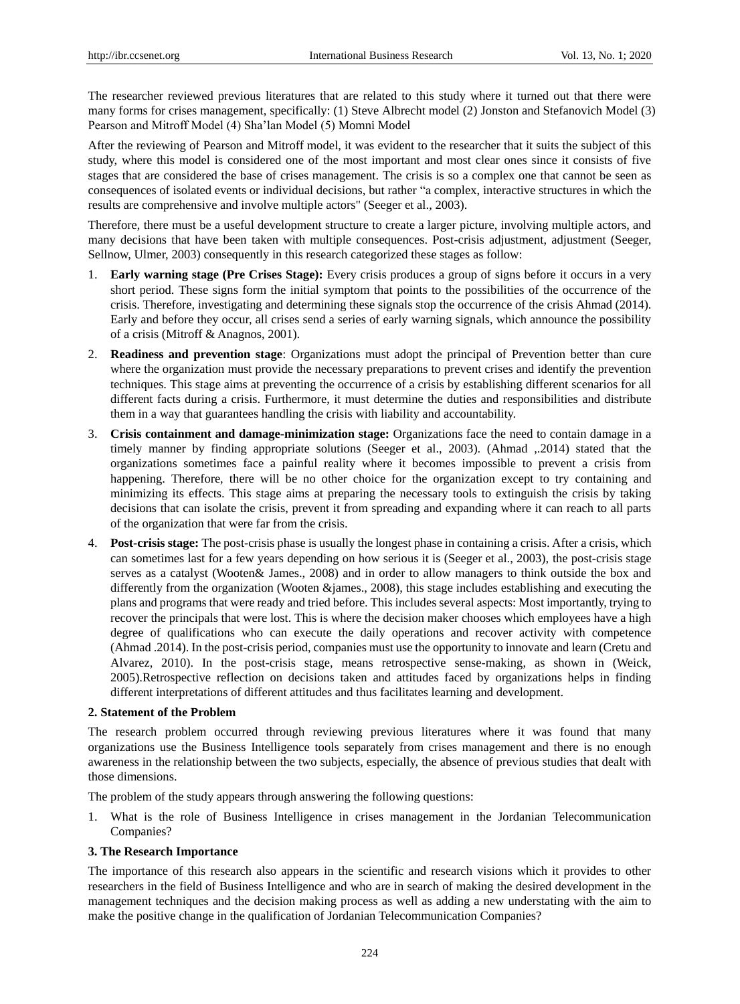The researcher reviewed previous literatures that are related to this study where it turned out that there were many forms for crises management, specifically: (1) Steve Albrecht model (2) Jonston and Stefanovich Model (3) Pearson and Mitroff Model (4) Sha'lan Model (5) Momni Model

After the reviewing of Pearson and Mitroff model, it was evident to the researcher that it suits the subject of this study, where this model is considered one of the most important and most clear ones since it consists of five stages that are considered the base of crises management. The crisis is so a complex one that cannot be seen as consequences of isolated events or individual decisions, but rather "a complex, interactive structures in which the results are comprehensive and involve multiple actors" (Seeger et al., 2003).

Therefore, there must be a useful development structure to create a larger picture, involving multiple actors, and many decisions that have been taken with multiple consequences. Post-crisis adjustment, adjustment (Seeger, Sellnow, Ulmer, 2003) consequently in this research categorized these stages as follow:

- 1. **Early warning stage (Pre Crises Stage):** Every crisis produces a group of signs before it occurs in a very short period. These signs form the initial symptom that points to the possibilities of the occurrence of the crisis. Therefore, investigating and determining these signals stop the occurrence of the crisis Ahmad (2014). Early and before they occur, all crises send a series of early warning signals, which announce the possibility of a crisis (Mitroff & Anagnos, 2001).
- 2. **Readiness and prevention stage**: Organizations must adopt the principal of Prevention better than cure where the organization must provide the necessary preparations to prevent crises and identify the prevention techniques. This stage aims at preventing the occurrence of a crisis by establishing different scenarios for all different facts during a crisis. Furthermore, it must determine the duties and responsibilities and distribute them in a way that guarantees handling the crisis with liability and accountability.
- 3. **Crisis containment and damage-minimization stage:** Organizations face the need to contain damage in a timely manner by finding appropriate solutions (Seeger et al., 2003). (Ahmad ,.2014) stated that the organizations sometimes face a painful reality where it becomes impossible to prevent a crisis from happening. Therefore, there will be no other choice for the organization except to try containing and minimizing its effects. This stage aims at preparing the necessary tools to extinguish the crisis by taking decisions that can isolate the crisis, prevent it from spreading and expanding where it can reach to all parts of the organization that were far from the crisis.
- 4. **Post-crisis stage:** The post-crisis phase is usually the longest phase in containing a crisis. After a crisis, which can sometimes last for a few years depending on how serious it is (Seeger et al., 2003), the post-crisis stage serves as a catalyst (Wooten& James., 2008) and in order to allow managers to think outside the box and differently from the organization (Wooten &james., 2008), this stage includes establishing and executing the plans and programs that were ready and tried before. This includes several aspects: Most importantly, trying to recover the principals that were lost. This is where the decision maker chooses which employees have a high degree of qualifications who can execute the daily operations and recover activity with competence (Ahmad .2014). In the post-crisis period, companies must use the opportunity to innovate and learn (Cretu and Alvarez, 2010). In the post-crisis stage, means retrospective sense-making, as shown in (Weick, 2005).Retrospective reflection on decisions taken and attitudes faced by organizations helps in finding different interpretations of different attitudes and thus facilitates learning and development.

## **2. Statement of the Problem**

The research problem occurred through reviewing previous literatures where it was found that many organizations use the Business Intelligence tools separately from crises management and there is no enough awareness in the relationship between the two subjects, especially, the absence of previous studies that dealt with those dimensions.

The problem of the study appears through answering the following questions:

1. What is the role of Business Intelligence in crises management in the Jordanian Telecommunication Companies?

## **3. The Research Importance**

The importance of this research also appears in the scientific and research visions which it provides to other researchers in the field of Business Intelligence and who are in search of making the desired development in the management techniques and the decision making process as well as adding a new understating with the aim to make the positive change in the qualification of Jordanian Telecommunication Companies?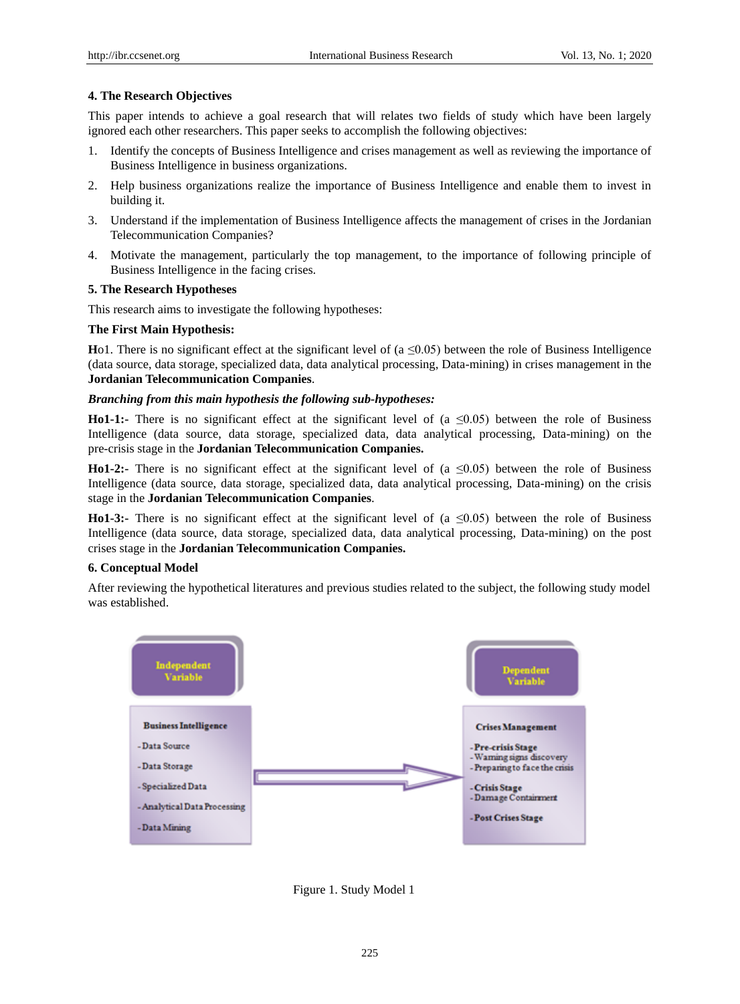## **4. The Research Objectives**

This paper intends to achieve a goal research that will relates two fields of study which have been largely ignored each other researchers. This paper seeks to accomplish the following objectives:

- 1. Identify the concepts of Business Intelligence and crises management as well as reviewing the importance of Business Intelligence in business organizations.
- 2. Help business organizations realize the importance of Business Intelligence and enable them to invest in building it.
- 3. Understand if the implementation of Business Intelligence affects the management of crises in the Jordanian Telecommunication Companies?
- 4. Motivate the management, particularly the top management, to the importance of following principle of Business Intelligence in the facing crises.

## **5. The Research Hypotheses**

This research aims to investigate the following hypotheses:

## **The First Main Hypothesis:**

**Ho1.** There is no significant effect at the significant level of ( $a \le 0.05$ ) between the role of Business Intelligence (data source, data storage, specialized data, data analytical processing, Data-mining) in crises management in the **Jordanian Telecommunication Companies**.

#### *Branching from this main hypothesis the following sub-hypotheses:*

**Ho1-1:-** There is no significant effect at the significant level of (a  $\leq 0.05$ ) between the role of Business Intelligence (data source, data storage, specialized data, data analytical processing, Data-mining) on the pre-crisis stage in the **Jordanian Telecommunication Companies.**

**Ho1-2:-** There is no significant effect at the significant level of ( $a \le 0.05$ ) between the role of Business Intelligence (data source, data storage, specialized data, data analytical processing, Data-mining) on the crisis stage in the **Jordanian Telecommunication Companies**.

**Ho1-3:-** There is no significant effect at the significant level of ( $a \le 0.05$ ) between the role of Business Intelligence (data source, data storage, specialized data, data analytical processing, Data-mining) on the post crises stage in the **Jordanian Telecommunication Companies.**

## **6. Conceptual Model**

After reviewing the hypothetical literatures and previous studies related to the subject, the following study model was established.



Figure 1. Study Model 1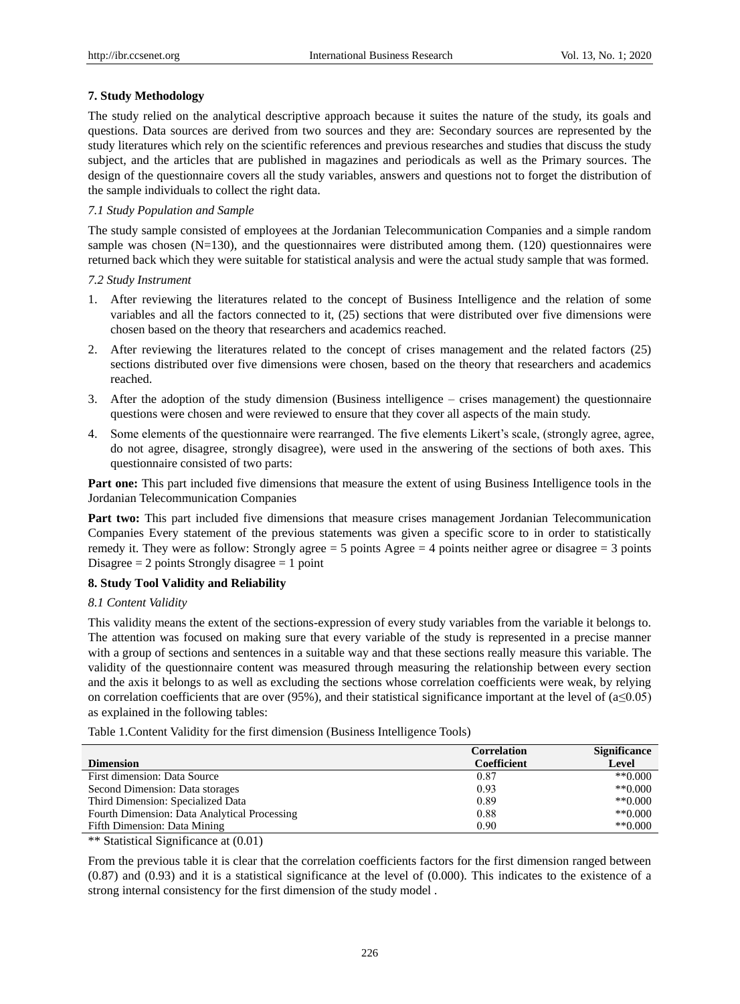## **7. Study Methodology**

The study relied on the analytical descriptive approach because it suites the nature of the study, its goals and questions. Data sources are derived from two sources and they are: Secondary sources are represented by the study literatures which rely on the scientific references and previous researches and studies that discuss the study subject, and the articles that are published in magazines and periodicals as well as the Primary sources. The design of the questionnaire covers all the study variables, answers and questions not to forget the distribution of the sample individuals to collect the right data.

## *7.1 Study Population and Sample*

The study sample consisted of employees at the Jordanian Telecommunication Companies and a simple random sample was chosen (N=130), and the questionnaires were distributed among them. (120) questionnaires were returned back which they were suitable for statistical analysis and were the actual study sample that was formed.

#### *7.2 Study Instrument*

- 1. After reviewing the literatures related to the concept of Business Intelligence and the relation of some variables and all the factors connected to it, (25) sections that were distributed over five dimensions were chosen based on the theory that researchers and academics reached.
- 2. After reviewing the literatures related to the concept of crises management and the related factors (25) sections distributed over five dimensions were chosen, based on the theory that researchers and academics reached.
- 3. After the adoption of the study dimension (Business intelligence crises management) the questionnaire questions were chosen and were reviewed to ensure that they cover all aspects of the main study.
- 4. Some elements of the questionnaire were rearranged. The five elements Likert's scale, (strongly agree, agree, do not agree, disagree, strongly disagree), were used in the answering of the sections of both axes. This questionnaire consisted of two parts:

**Part one:** This part included five dimensions that measure the extent of using Business Intelligence tools in the Jordanian Telecommunication Companies

**Part two:** This part included five dimensions that measure crises management Jordanian Telecommunication Companies Every statement of the previous statements was given a specific score to in order to statistically remedy it. They were as follow: Strongly agree  $= 5$  points Agree  $= 4$  points neither agree or disagree  $= 3$  points Disagree  $= 2$  points Strongly disagree  $= 1$  point

## **8. Study Tool Validity and Reliability**

#### *8.1 Content Validity*

This validity means the extent of the sections-expression of every study variables from the variable it belongs to. The attention was focused on making sure that every variable of the study is represented in a precise manner with a group of sections and sentences in a suitable way and that these sections really measure this variable. The validity of the questionnaire content was measured through measuring the relationship between every section and the axis it belongs to as well as excluding the sections whose correlation coefficients were weak, by relying on correlation coefficients that are over (95%), and their statistical significance important at the level of  $(a \le 0.05)$ as explained in the following tables:

Table 1.Content Validity for the first dimension (Business Intelligence Tools)

|                                              | <b>Correlation</b> | <b>Significance</b> |
|----------------------------------------------|--------------------|---------------------|
| <b>Dimension</b>                             | Coefficient        | Level               |
| First dimension: Data Source                 | 0.87               | $*$ $(0.000)$       |
| Second Dimension: Data storages              | 0.93               | $**0.000$           |
| Third Dimension: Specialized Data            | 0.89               | $*$ $(0.000)$       |
| Fourth Dimension: Data Analytical Processing | 0.88               | $*$ $(0.000)$       |
| Fifth Dimension: Data Mining                 | 0.90               | $*$ *0.000          |

\*\* Statistical Significance at (0.01)

From the previous table it is clear that the correlation coefficients factors for the first dimension ranged between (0.87) and (0.93) and it is a statistical significance at the level of (0.000). This indicates to the existence of a strong internal consistency for the first dimension of the study model .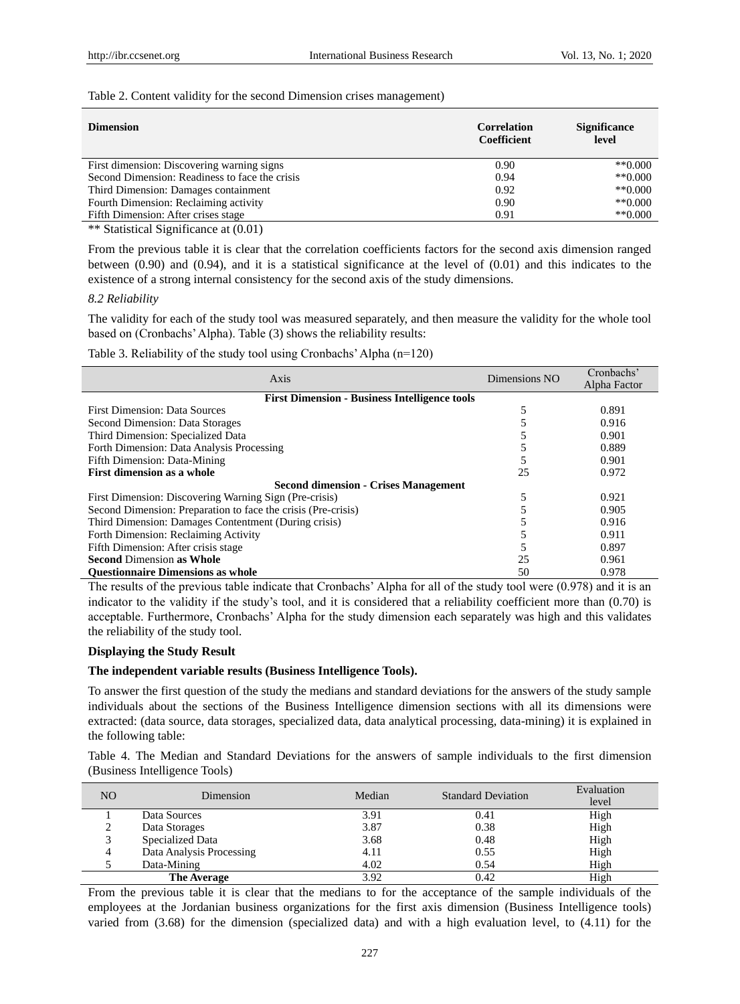#### Table 2. Content validity for the second Dimension crises management)

| <b>Dimension</b>                               | <b>Correlation</b><br>Coefficient | <b>Significance</b><br>level |
|------------------------------------------------|-----------------------------------|------------------------------|
| First dimension: Discovering warning signs     | 0.90                              | $*$ $(0.000)$                |
| Second Dimension: Readiness to face the crisis | 0.94                              | $*$ *0.000                   |
| Third Dimension: Damages containment           | 0.92                              | $*$ *0.000                   |
| Fourth Dimension: Reclaiming activity          | 0.90                              | $*$ *0.000                   |
| Fifth Dimension: After crises stage            | 0.91                              | $*$ $0.000$                  |
|                                                |                                   |                              |

\*\* Statistical Significance at (0.01)

From the previous table it is clear that the correlation coefficients factors for the second axis dimension ranged between (0.90) and (0.94), and it is a statistical significance at the level of (0.01) and this indicates to the existence of a strong internal consistency for the second axis of the study dimensions.

#### *8.2 Reliability*

The validity for each of the study tool was measured separately, and then measure the validity for the whole tool based on (Cronbachs' Alpha). Table (3) shows the reliability results:

Table 3. Reliability of the study tool using Cronbachs' Alpha (n=120)

| Axis                                                          | Dimensions NO | Cronbachs'   |  |  |  |  |
|---------------------------------------------------------------|---------------|--------------|--|--|--|--|
|                                                               |               | Alpha Factor |  |  |  |  |
| <b>First Dimension - Business Intelligence tools</b>          |               |              |  |  |  |  |
| <b>First Dimension: Data Sources</b>                          |               | 0.891        |  |  |  |  |
| Second Dimension: Data Storages                               |               | 0.916        |  |  |  |  |
| Third Dimension: Specialized Data                             |               | 0.901        |  |  |  |  |
| Forth Dimension: Data Analysis Processing                     |               | 0.889        |  |  |  |  |
| Fifth Dimension: Data-Mining                                  |               | 0.901        |  |  |  |  |
| <b>First dimension as a whole</b>                             | 25            | 0.972        |  |  |  |  |
| <b>Second dimension - Crises Management</b>                   |               |              |  |  |  |  |
| First Dimension: Discovering Warning Sign (Pre-crisis)        |               | 0.921        |  |  |  |  |
| Second Dimension: Preparation to face the crisis (Pre-crisis) |               | 0.905        |  |  |  |  |
| Third Dimension: Damages Contentment (During crisis)          |               | 0.916        |  |  |  |  |
| Forth Dimension: Reclaiming Activity                          |               | 0.911        |  |  |  |  |
| Fifth Dimension: After crisis stage                           |               | 0.897        |  |  |  |  |
| <b>Second Dimension as Whole</b>                              | 25            | 0.961        |  |  |  |  |
| <b>Ouestionnaire Dimensions as whole</b>                      | 50            | 0.978        |  |  |  |  |

The results of the previous table indicate that Cronbachs' Alpha for all of the study tool were (0.978) and it is an indicator to the validity if the study's tool, and it is considered that a reliability coefficient more than (0.70) is acceptable. Furthermore, Cronbachs' Alpha for the study dimension each separately was high and this validates the reliability of the study tool.

#### **Displaying the Study Result**

## **The independent variable results (Business Intelligence Tools).**

To answer the first question of the study the medians and standard deviations for the answers of the study sample individuals about the sections of the Business Intelligence dimension sections with all its dimensions were extracted: (data source, data storages, specialized data, data analytical processing, data-mining) it is explained in the following table:

Table 4. The Median and Standard Deviations for the answers of sample individuals to the first dimension (Business Intelligence Tools)

| NO | Dimension                | Median | <b>Standard Deviation</b> | Evaluation<br>level |
|----|--------------------------|--------|---------------------------|---------------------|
|    | Data Sources             | 3.91   | 0.41                      | High                |
|    | Data Storages            | 3.87   | 0.38                      | High                |
|    | Specialized Data         | 3.68   | 0.48                      | High                |
|    | Data Analysis Processing | 4.11   | 0.55                      | High                |
|    | Data-Mining              | 4.02   | 0.54                      | High                |
|    | <b>The Average</b>       | 3.92   | 0.42                      | High                |

From the previous table it is clear that the medians to for the acceptance of the sample individuals of the employees at the Jordanian business organizations for the first axis dimension (Business Intelligence tools) varied from (3.68) for the dimension (specialized data) and with a high evaluation level, to (4.11) for the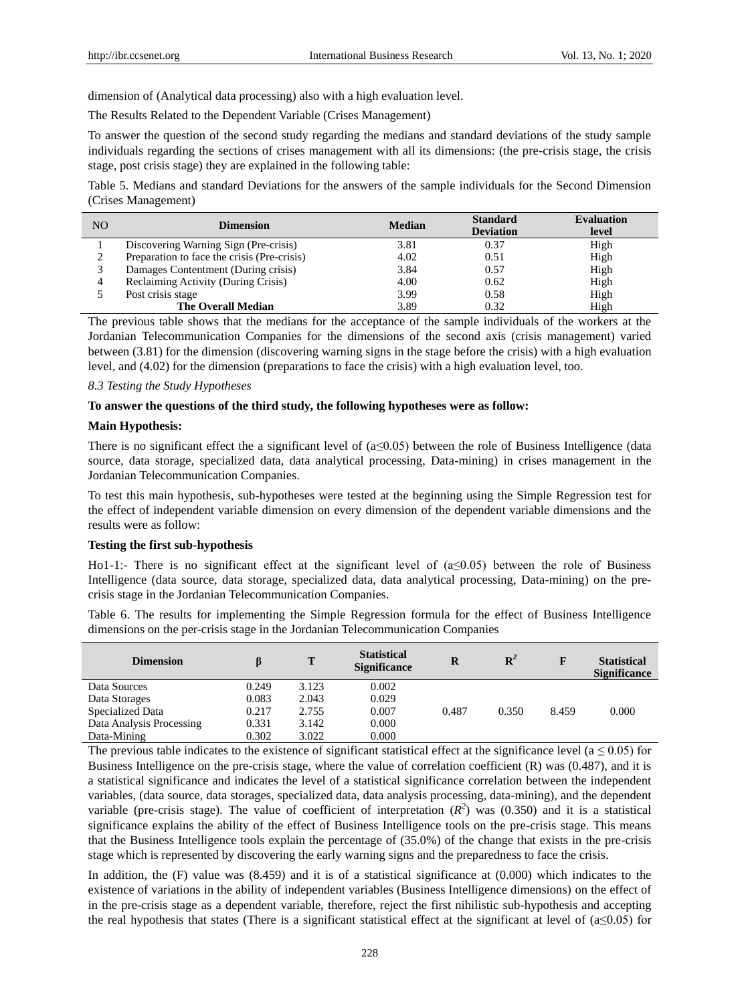dimension of (Analytical data processing) also with a high evaluation level.

The Results Related to the Dependent Variable (Crises Management)

To answer the question of the second study regarding the medians and standard deviations of the study sample individuals regarding the sections of crises management with all its dimensions: (the pre-crisis stage, the crisis stage, post crisis stage) they are explained in the following table:

Table 5. Medians and standard Deviations for the answers of the sample individuals for the Second Dimension (Crises Management)

| NO | <b>Dimension</b>                            | <b>Median</b> | <b>Standard</b><br><b>Deviation</b> | <b>Evaluation</b><br>level |
|----|---------------------------------------------|---------------|-------------------------------------|----------------------------|
|    | Discovering Warning Sign (Pre-crisis)       | 3.81          | 0.37                                | High                       |
|    | Preparation to face the crisis (Pre-crisis) | 4.02          | 0.51                                | High                       |
|    | Damages Contentment (During crisis)         | 3.84          | 0.57                                | High                       |
|    | Reclaiming Activity (During Crisis)         | 4.00          | 0.62                                | High                       |
|    | Post crisis stage                           | 3.99          | 0.58                                | High                       |
|    | <b>The Overall Median</b>                   | 3.89          | 0.32                                | High                       |

The previous table shows that the medians for the acceptance of the sample individuals of the workers at the Jordanian Telecommunication Companies for the dimensions of the second axis (crisis management) varied between (3.81) for the dimension (discovering warning signs in the stage before the crisis) with a high evaluation level, and (4.02) for the dimension (preparations to face the crisis) with a high evaluation level, too.

#### *8.3 Testing the Study Hypotheses*

#### **To answer the questions of the third study, the following hypotheses were as follow:**

#### **Main Hypothesis:**

There is no significant effect the a significant level of  $(a \le 0.05)$  between the role of Business Intelligence (data source, data storage, specialized data, data analytical processing, Data-mining) in crises management in the Jordanian Telecommunication Companies.

To test this main hypothesis, sub-hypotheses were tested at the beginning using the Simple Regression test for the effect of independent variable dimension on every dimension of the dependent variable dimensions and the results were as follow:

#### **Testing the first sub-hypothesis**

Ho1-1:- There is no significant effect at the significant level of  $(a \le 0.05)$  between the role of Business Intelligence (data source, data storage, specialized data, data analytical processing, Data-mining) on the precrisis stage in the Jordanian Telecommunication Companies.

Table 6. The results for implementing the Simple Regression formula for the effect of Business Intelligence dimensions on the per-crisis stage in the Jordanian Telecommunication Companies

| <b>Dimension</b>         |       | T     | <b>Statistical</b><br><b>Significance</b> | R     | ${\bf R}^2$ | F     | <b>Statistical</b><br><b>Significance</b> |
|--------------------------|-------|-------|-------------------------------------------|-------|-------------|-------|-------------------------------------------|
| Data Sources             | 0.249 | 3.123 | 0.002                                     |       |             |       |                                           |
| Data Storages            | 0.083 | 2.043 | 0.029                                     |       |             |       |                                           |
| Specialized Data         | 0.217 | 2.755 | 0.007                                     | 0.487 | 0.350       | 8.459 | 0.000                                     |
| Data Analysis Processing | 0.331 | 3.142 | 0.000                                     |       |             |       |                                           |
| Data-Mining              | 0.302 | 3.022 | 0.000                                     |       |             |       |                                           |

The previous table indicates to the existence of significant statistical effect at the significance level ( $a \le 0.05$ ) for Business Intelligence on the pre-crisis stage, where the value of correlation coefficient (R) was (0.487), and it is a statistical significance and indicates the level of a statistical significance correlation between the independent variables, (data source, data storages, specialized data, data analysis processing, data-mining), and the dependent variable (pre-crisis stage). The value of coefficient of interpretation  $(R^2)$  was (0.350) and it is a statistical significance explains the ability of the effect of Business Intelligence tools on the pre-crisis stage. This means that the Business Intelligence tools explain the percentage of (35.0%) of the change that exists in the pre-crisis stage which is represented by discovering the early warning signs and the preparedness to face the crisis.

In addition, the (F) value was (8.459) and it is of a statistical significance at (0.000) which indicates to the existence of variations in the ability of independent variables (Business Intelligence dimensions) on the effect of in the pre-crisis stage as a dependent variable, therefore, reject the first nihilistic sub-hypothesis and accepting the real hypothesis that states (There is a significant statistical effect at the significant at level of  $(a \le 0.05)$  for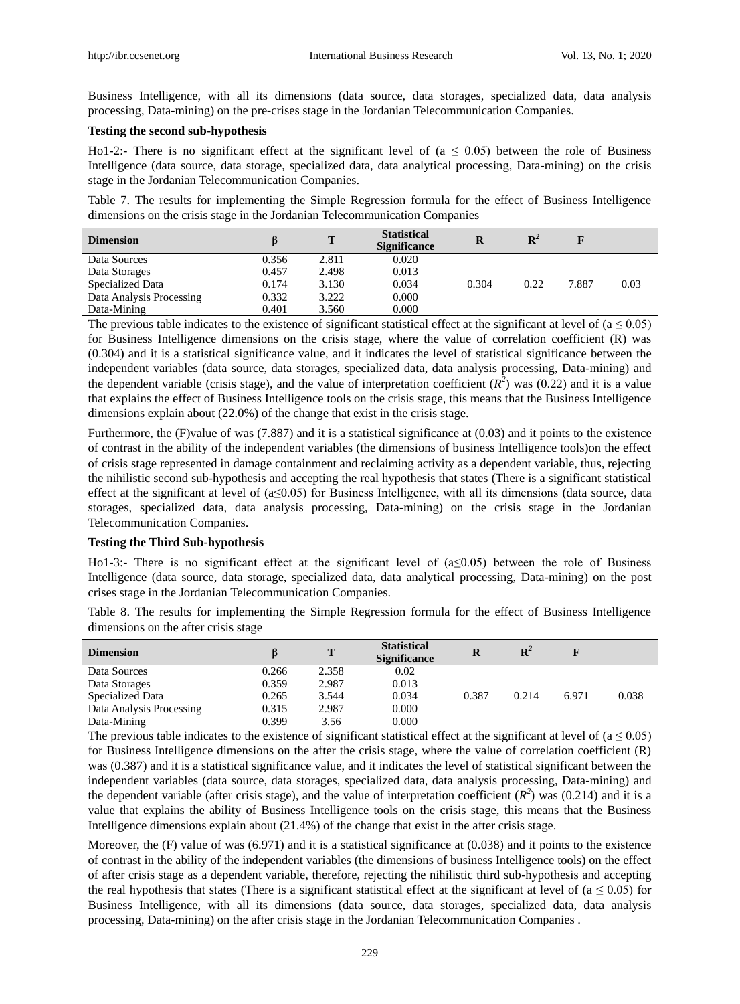Business Intelligence, with all its dimensions (data source, data storages, specialized data, data analysis processing, Data-mining) on the pre-crises stage in the Jordanian Telecommunication Companies.

#### **Testing the second sub-hypothesis**

Ho1-2:- There is no significant effect at the significant level of ( $a \le 0.05$ ) between the role of Business Intelligence (data source, data storage, specialized data, data analytical processing, Data-mining) on the crisis stage in the Jordanian Telecommunication Companies.

Table 7. The results for implementing the Simple Regression formula for the effect of Business Intelligence dimensions on the crisis stage in the Jordanian Telecommunication Companies

| <b>Dimension</b>         |       | т     | <b>Statistical</b><br><b>Significance</b> | R     | $\mathbf{R}^2$ |       |      |
|--------------------------|-------|-------|-------------------------------------------|-------|----------------|-------|------|
| Data Sources             | 0.356 | 2.811 | 0.020                                     |       |                |       |      |
| Data Storages            | 0.457 | 2.498 | 0.013                                     |       |                |       |      |
| Specialized Data         | 0.174 | 3.130 | 0.034                                     | 0.304 | 0.22           | 7.887 | 0.03 |
| Data Analysis Processing | 0.332 | 3.222 | 0.000                                     |       |                |       |      |
| Data-Mining              | 0.401 | 3.560 | 0.000                                     |       |                |       |      |

The previous table indicates to the existence of significant statistical effect at the significant at level of  $(a \le 0.05)$ for Business Intelligence dimensions on the crisis stage, where the value of correlation coefficient (R) was (0.304) and it is a statistical significance value, and it indicates the level of statistical significance between the independent variables (data source, data storages, specialized data, data analysis processing, Data-mining) and the dependent variable (crisis stage), and the value of interpretation coefficient  $(R^2)$  was (0.22) and it is a value that explains the effect of Business Intelligence tools on the crisis stage, this means that the Business Intelligence dimensions explain about (22.0%) of the change that exist in the crisis stage.

Furthermore, the (F)value of was (7.887) and it is a statistical significance at (0.03) and it points to the existence of contrast in the ability of the independent variables (the dimensions of business Intelligence tools)on the effect of crisis stage represented in damage containment and reclaiming activity as a dependent variable, thus, rejecting the nihilistic second sub-hypothesis and accepting the real hypothesis that states (There is a significant statistical effect at the significant at level of  $(a \le 0.05)$  for Business Intelligence, with all its dimensions (data source, data storages, specialized data, data analysis processing, Data-mining) on the crisis stage in the Jordanian Telecommunication Companies.

#### **Testing the Third Sub-hypothesis**

Ho1-3:- There is no significant effect at the significant level of  $(a \le 0.05)$  between the role of Business Intelligence (data source, data storage, specialized data, data analytical processing, Data-mining) on the post crises stage in the Jordanian Telecommunication Companies.

Table 8. The results for implementing the Simple Regression formula for the effect of Business Intelligence dimensions on the after crisis stage

| <b>Dimension</b>         |       | т     | <b>Statistical</b><br><b>Significance</b> | R     | ${\bf R}^2$ |       |       |
|--------------------------|-------|-------|-------------------------------------------|-------|-------------|-------|-------|
| Data Sources             | 0.266 | 2.358 | 0.02                                      |       |             |       |       |
| Data Storages            | 0.359 | 2.987 | 0.013                                     |       |             |       |       |
| Specialized Data         | 0.265 | 3.544 | 0.034                                     | 0.387 | 0.214       | 6.971 | 0.038 |
| Data Analysis Processing | 0.315 | 2.987 | 0.000                                     |       |             |       |       |
| Data-Mining              | 0.399 | 3.56  | 0.000                                     |       |             |       |       |

The previous table indicates to the existence of significant statistical effect at the significant at level of  $(a \le 0.05)$ for Business Intelligence dimensions on the after the crisis stage, where the value of correlation coefficient (R) was (0.387) and it is a statistical significance value, and it indicates the level of statistical significant between the independent variables (data source, data storages, specialized data, data analysis processing, Data-mining) and the dependent variable (after crisis stage), and the value of interpretation coefficient  $(R^2)$  was (0.214) and it is a value that explains the ability of Business Intelligence tools on the crisis stage, this means that the Business Intelligence dimensions explain about (21.4%) of the change that exist in the after crisis stage.

Moreover, the  $(F)$  value of was  $(6.971)$  and it is a statistical significance at  $(0.038)$  and it points to the existence of contrast in the ability of the independent variables (the dimensions of business Intelligence tools) on the effect of after crisis stage as a dependent variable, therefore, rejecting the nihilistic third sub-hypothesis and accepting the real hypothesis that states (There is a significant statistical effect at the significant at level of ( $a \le 0.05$ ) for Business Intelligence, with all its dimensions (data source, data storages, specialized data, data analysis processing, Data-mining) on the after crisis stage in the Jordanian Telecommunication Companies .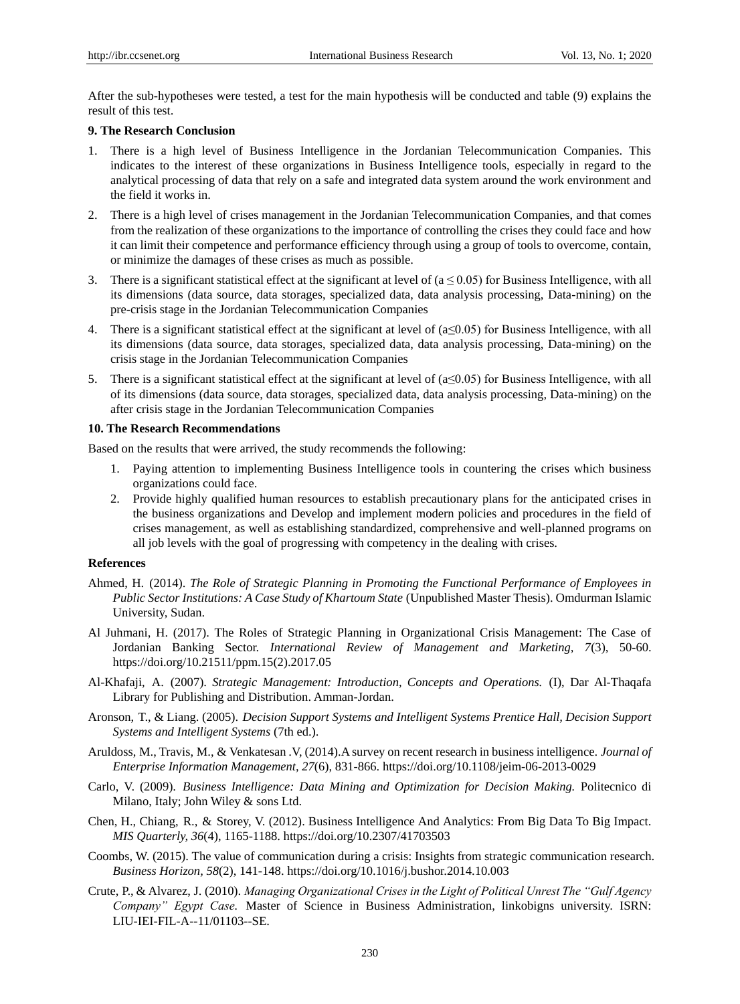After the sub-hypotheses were tested, a test for the main hypothesis will be conducted and table (9) explains the result of this test.

## **9. The Research Conclusion**

- 1. There is a high level of Business Intelligence in the Jordanian Telecommunication Companies. This indicates to the interest of these organizations in Business Intelligence tools, especially in regard to the analytical processing of data that rely on a safe and integrated data system around the work environment and the field it works in.
- 2. There is a high level of crises management in the Jordanian Telecommunication Companies, and that comes from the realization of these organizations to the importance of controlling the crises they could face and how it can limit their competence and performance efficiency through using a group of tools to overcome, contain, or minimize the damages of these crises as much as possible.
- 3. There is a significant statistical effect at the significant at level of  $(a \le 0.05)$  for Business Intelligence, with all its dimensions (data source, data storages, specialized data, data analysis processing, Data-mining) on the pre-crisis stage in the Jordanian Telecommunication Companies
- 4. There is a significant statistical effect at the significant at level of  $(a \le 0.05)$  for Business Intelligence, with all its dimensions (data source, data storages, specialized data, data analysis processing, Data-mining) on the crisis stage in the Jordanian Telecommunication Companies
- 5. There is a significant statistical effect at the significant at level of  $(a \le 0.05)$  for Business Intelligence, with all of its dimensions (data source, data storages, specialized data, data analysis processing, Data-mining) on the after crisis stage in the Jordanian Telecommunication Companies

## **10. The Research Recommendations**

Based on the results that were arrived, the study recommends the following:

- 1. Paying attention to implementing Business Intelligence tools in countering the crises which business organizations could face.
- 2. Provide highly qualified human resources to establish precautionary plans for the anticipated crises in the business organizations and Develop and implement modern policies and procedures in the field of crises management, as well as establishing standardized, comprehensive and well-planned programs on all job levels with the goal of progressing with competency in the dealing with crises.

#### **References**

- Ahmed, H. (2014). *The Role of Strategic Planning in Promoting the Functional Performance of Employees in Public Sector Institutions: A Case Study of Khartoum State* (Unpublished Master Thesis). Omdurman Islamic University, Sudan.
- Al Juhmani, H. (2017). The Roles of Strategic Planning in Organizational Crisis Management: The Case of Jordanian Banking Sector. *International Review of Management and Marketing, 7*(3), 50-60. https://doi.org/10.21511/ppm.15(2).2017.05
- Al-Khafaji, A. (2007). *Strategic Management: Introduction, Concepts and Operations.* (I), Dar Al-Thaqafa Library for Publishing and Distribution. Amman-Jordan.
- Aronson, T., & Liang. (2005). *Decision Support Systems and Intelligent Systems Prentice Hall, Decision Support Systems and Intelligent Systems* (7th ed.).
- Aruldoss, M., Travis, M., & Venkatesan .V, (2014).A survey on recent research in business intelligence. *Journal of Enterprise Information Management, 27*(6), 831-866. https://doi.org/10.1108/jeim-06-2013-0029
- Carlo, V. (2009). *Business Intelligence: Data Mining and Optimization for Decision Making.* Politecnico di Milano, Italy; John Wiley & sons Ltd.
- Chen, H., Chiang, R., & Storey, V. (2012). Business Intelligence And Analytics: From Big Data To Big Impact. *MIS Quarterly, 36*(4), 1165-1188. https://doi.org/10.2307/41703503
- Coombs, W. (2015). The value of communication during a crisis: Insights from strategic communication research. *Business Horizon, 58*(2), 141-148. https://doi.org/10.1016/j.bushor.2014.10.003
- Crute, P., & Alvarez, J. (2010). *Managing Organizational Crises in the Light of Political Unrest The "Gulf Agency Company" Egypt Case.* Master of Science in Business Administration, linkobigns university. ISRN: LIU-IEI-FIL-A--11/01103--SE.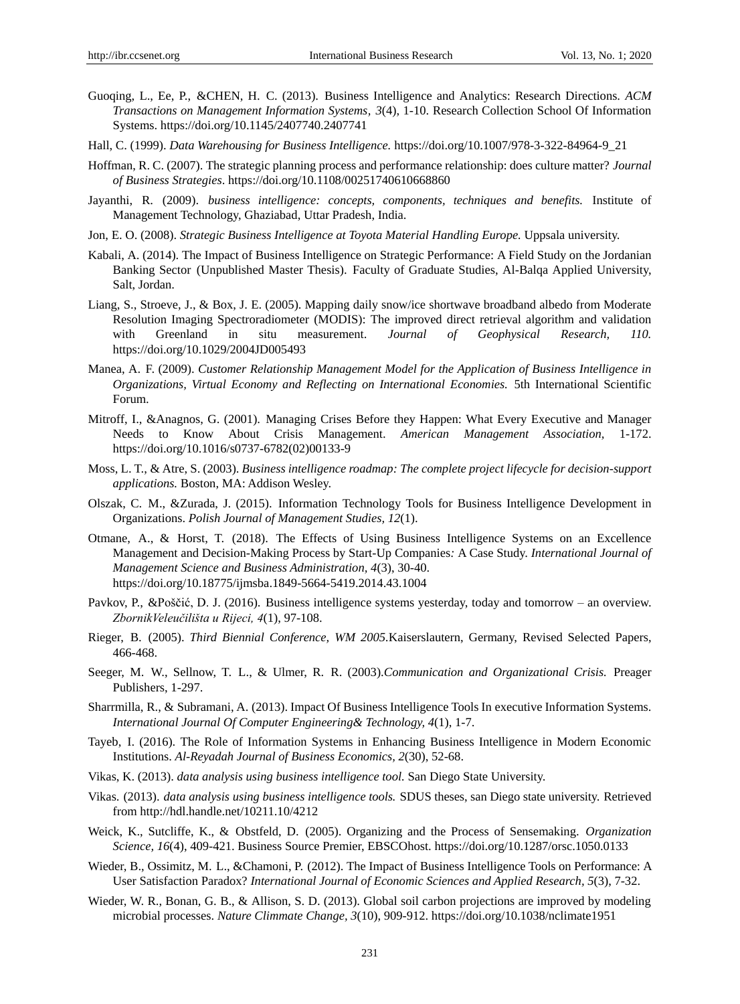- Guoqing, L., Ee, P., &CHEN, H. C. (2013). Business Intelligence and Analytics: Research Directions. *ACM Transactions on Management Information Systems, 3*(4), 1-10. Research Collection School Of Information Systems. https://doi.org/10.1145/2407740.2407741
- Hall, C. (1999). *Data Warehousing for Business Intelligence.* https://doi.org/10.1007/978-3-322-84964-9\_21
- Hoffman, R. C. (2007). The strategic planning process and performance relationship: does culture matter? *Journal of Business Strategies*. https://doi.org/10.1108/00251740610668860
- Jayanthi, R. (2009). *business intelligence: concepts, components, techniques and benefits.* Institute of Management Technology, Ghaziabad, Uttar Pradesh, India.
- Jon, E. O. (2008). *Strategic Business Intelligence at Toyota Material Handling Europe.* Uppsala university.
- Kabali, A. (2014). The Impact of Business Intelligence on Strategic Performance: A Field Study on the Jordanian Banking Sector (Unpublished Master Thesis). Faculty of Graduate Studies, Al-Balqa Applied University, Salt, Jordan.
- Liang, S., Stroeve, J., & Box, J. E. (2005). Mapping daily snow/ice shortwave broadband albedo from Moderate Resolution Imaging Spectroradiometer (MODIS): The improved direct retrieval algorithm and validation with Greenland in situ measurement. *Journal of Geophysical Research, 110.* https://doi.org/10.1029/2004JD005493
- Manea, A. F. (2009). *Customer Relationship Management Model for the Application of Business Intelligence in Organizations, Virtual Economy and Reflecting on International Economies.* 5th International Scientific Forum.
- Mitroff, I., &Anagnos, G. (2001). Managing Crises Before they Happen: What Every Executive and Manager Needs to Know About Crisis Management. *American Management Association,* 1-172. https://doi.org/10.1016/s0737-6782(02)00133-9
- Moss, L. T., & Atre, S. (2003). *Business intelligence roadmap: The complete project lifecycle for decision-support applications.* Boston, MA: Addison Wesley.
- Olszak, C. M., &Zurada, J. (2015). Information Technology Tools for Business Intelligence Development in Organizations. *Polish Journal of Management Studies, 12*(1).
- Otmane, A., & Horst, T. (2018). The Effects of Using Business Intelligence Systems on an Excellence Management and Decision-Making Process by Start-Up Companies*:* A Case Study. *International Journal of Management Science and Business Administration, 4*(3), 30-40. https://doi.org/10.18775/ijmsba.1849-5664-5419.2014.43.1004
- Pavkov, P., &Poščić, D. J. (2016). Business intelligence systems yesterday, today and tomorrow an overview. *ZbornikVeleučilišta u Rijeci, 4*(1), 97-108.
- Rieger, B. (2005). *Third Biennial Conference, WM 2005.*Kaiserslautern, Germany, Revised Selected Papers, 466-468.
- Seeger, M. W., Sellnow, T. L., & Ulmer, R. R. (2003).*Communication and Organizational Crisis.* Preager Publishers, 1-297.
- Sharrmilla, R., & Subramani, A. (2013). Impact Of Business Intelligence Tools In executive Information Systems. *International Journal Of Computer Engineering& Technology, 4*(1), 1-7.
- Tayeb, I. (2016). The Role of Information Systems in Enhancing Business Intelligence in Modern Economic Institutions. *Al-Reyadah Journal of Business Economics, 2*(30), 52-68.
- Vikas, K. (2013). *data analysis using business intelligence tool.* San Diego State University.
- Vikas. (2013). *data analysis using business intelligence tools.* SDUS theses, san Diego state university. Retrieved from http://hdl.handle.net/10211.10/4212
- Weick, K., Sutcliffe, K., & Obstfeld, D. (2005). Organizing and the Process of Sensemaking. *Organization Science, 16*(4), 409-421. Business Source Premier, EBSCOhost. https://doi.org/10.1287/orsc.1050.0133
- Wieder, B., Ossimitz, M. L., &Chamoni, P. (2012). The Impact of Business Intelligence Tools on Performance: A User Satisfaction Paradox? *International Journal of Economic Sciences and Applied Research, 5*(3), 7-32.
- Wieder, W. R., Bonan, G. B., & Allison, S. D. (2013). Global soil carbon projections are improved by modeling microbial processes. *Nature Climmate Change, 3*(10), 909-912. https://doi.org/10.1038/nclimate1951